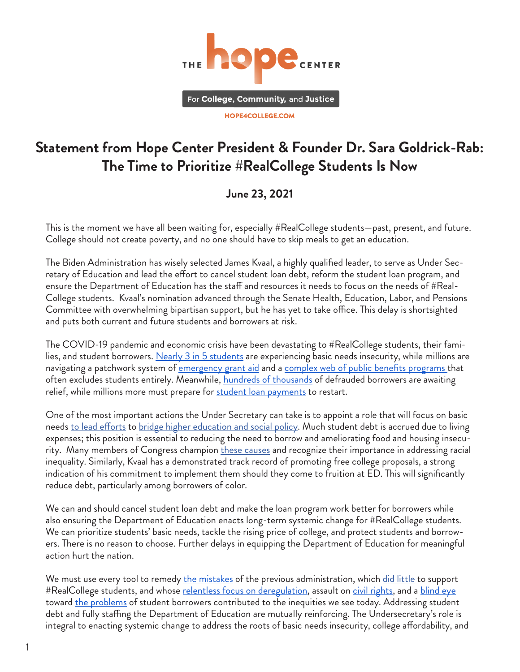

## **Statement from Hope Center President & Founder Dr. Sara Goldrick-Rab: The Time to Prioritize #RealCollege Students Is Now**

## **June 23, 2021**

This is the moment we have all been waiting for, especially #RealCollege students—past, present, and future. College should not create poverty, and no one should have to skip meals to get an education.

The Biden Administration has wisely selected James Kvaal, a highly qualified leader, to serve as Under Secretary of Education and lead the effort to cancel student loan debt, reform the student loan program, and ensure the Department of Education has the staff and resources it needs to focus on the needs of #Real-College students. Kvaal's nomination advanced through the Senate Health, Education, Labor, and Pensions Committee with overwhelming bipartisan support, but he has yet to take office. This delay is shortsighted and puts both current and future students and borrowers at risk.

The COVID-19 pandemic and economic crisis have been devastating to #RealCollege students, their fami-lies, and student borrowers. [Nearly 3 in 5 students](https://hope4college.com/rc2021-bni-during-the-ongoing-pandemic/) are experiencing basic needs insecurity, while milli[on](https://www.luminafoundation.org/wp-content/uploads/2017/08/benefits-access-for-college-completion.pdf)s are navigating a patchwork system of [emergency grant aid](https://hope4college.com/wp-content/uploads/2020/04/BTFP_COVID19_EmergencyAid.pdf) and a [complex web of public benefits programs](https://www.luminafoundation.org/wp-content/uploads/2017/08/benefits-access-for-college-completion.pdf) that often excludes students entirely. Meanwhile, [hundreds of thousands](https://news.yahoo.com/borrower-defense-education-students-defrauded-152343336.html?guccounter=1&guce_referrer=aHR0cHM6Ly93d3cuZ29vZ2xlLmNvbS8&guce_referrer_sig=AQAAALkT2k6ianiUWIXIXSL10xgPpANE2wtqOdgRIWyrtO5s09iTWTj8wRPbgCMUxg-9RzIzB1c-TbRGaGfcjiQoJkaQyWqI5YJtouxziQjpW00MT_D8RfP7xvH1ClEuNfzAXVN0vo8VQH-xyJ44G3sAFFoxPY7XUlj6j3-k8gghAQ2F) of defrauded borrowers are awaiting relief, while millions more must prepare for [student loan payments](https://www.cnbc.com/2021/06/19/student-loan-payments-will-resume-soon-heres-what-you-should-do-now.html) to restart.

One of the most important actions the Under Secretary can take is to appoint a role that will focus on basic needs [to lead efforts](https://hechingerreport.org/opinion-the-low-cost-steps-the-government-could-take-right-now-to-ease-hunger-and-homelessness-on-college-campuses/) to [bridge higher education and social policy.](https://hope4college.com/realcollege-federal-policy-agenda-2021/) Much student debt is accrued due to living expenses; this position is essential to reducing the need to borrow and ameliorating food and housing insecurity. Many members of Congress [champion](https://www.warren.senate.gov/newsroom/press-releases/warren-murphy-padilla-sanders-hayes-lawson-and-torres-introduce-the-bicameral-student-food-security-act) [these causes](https://www.warren.senate.gov/imo/media/doc/Student%20Food%20Security%20Act%20Section%20by%20Section_final.pdf) and recognize their importance in addressing racial inequality. Similarly, Kvaal has a demonstrated track record of promoting free college proposals, a strong indication of his commitment to implement them should they come to fruition at ED. This will significantly reduce debt, particularly among borrowers of color.

We can and should cancel student loan debt and make the loan program work better for borrowers while also ensuring the Department of Education enacts long-term systemic change for #RealCollege students. We can prioritize students' basic needs, tackle the rising price of college, and protect students and borrowers. There is no reason to choose. Further delays in equipping the Department of Education for meaningful action hurt the nation.

We must use every tool to remedy <u>the mistakes</u> of the previous administration, which [did little](https://www.highereddive.com/news/trump-returns-to-cuts-in-higher-ed-budget-proposal/572049/) to support #RealCollege students, and whose [relentless focus on deregulation](https://www.americanprogress.org/issues/education-k-12/reports/2019/05/30/470509/3-ways-devos-put-students-risk-deregulating-education/), assault on [civil rights,](https://www.americanprogress.org/issues/lgbtq-rights/reports/2019/07/29/472636/secretary-devos-failing-protect-civil-rights-lgbtq-students/) and a [blind eye](https://www.npr.org/2019/12/11/786367598/betsy-devos-overruled-education-dept-findings-on-defrauded-student-borrowers) toward <u>the problems</u> of student borrowers contributed to the inequities we see today. Addressing student debt and fully staffing the Department of Education are mutually reinforcing. The Undersecretary's role is integral to enacting systemic change to address the roots of basic needs insecurity, college affordability, and